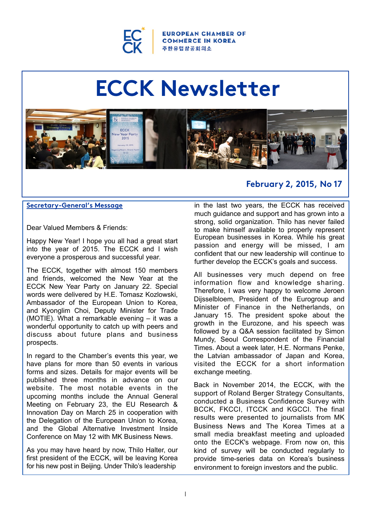

**OPEAN CHAMBER OF COMMERCE IN KOREA** 주한유럽상공회의소

# **ECCK Newsletter**



#### **Secretary-General's Message**

Dear Valued Members & Friends:

Happy New Year! I hope you all had a great start into the year of 2015. The ECCK and I wish everyone a prosperous and successful year.

The ECCK, together with almost 150 members and friends, welcomed the New Year at the ECCK New Year Party on January 22. Special words were delivered by H.E. Tomasz Kozlowski, Ambassador of the European Union to Korea, and Kyonglim Choi, Deputy Minister for Trade (MOTIE). What a remarkable evening – it was a wonderful opportunity to catch up with peers and discuss about future plans and business prospects.

In regard to the Chamber's events this year, we have plans for more than 50 events in various forms and sizes. Details for major events will be published three months in advance on our website. The most notable events in the upcoming months include the Annual General Meeting on February 23, the EU Research & Innovation Day on March 25 in cooperation with the Delegation of the European Union to Korea, and the Global Alternative Investment Inside Conference on May 12 with MK Business News.

As you may have heard by now, Thilo Halter, our first president of the ECCK, will be leaving Korea for his new post in Beijing. Under Thilo's leadership

## **February 2, 2015, No 17**

in the last two years, the ECCK has received much guidance and support and has grown into a strong, solid organization. Thilo has never failed to make himself available to properly represent European businesses in Korea. While his great passion and energy will be missed, I am confident that our new leadership will continue to further develop the ECCK's goals and success.

All businesses very much depend on free information flow and knowledge sharing. Therefore, I was very happy to welcome Jeroen Dijsselbloem, President of the Eurogroup and Minister of Finance in the Netherlands, on January 15. The president spoke about the growth in the Eurozone, and his speech was followed by a Q&A session facilitated by Simon Mundy, Seoul Correspondent of the Financial Times. About a week later, H.E. Normans Penke, the Latvian ambassador of Japan and Korea, visited the ECCK for a short information exchange meeting.

Back in November 2014, the ECCK, with the support of Roland Berger Strategy Consultants, conducted a Business Confidence Survey with BCCK, FKCCI, ITCCK and KGCCI. The final results were presented to journalists from MK Business News and The Korea Times at a small media breakfast meeting and uploaded onto the ECCK's webpage. From now on, this kind of survey will be conducted regularly to provide time-series data on Korea's business environment to foreign investors and the public.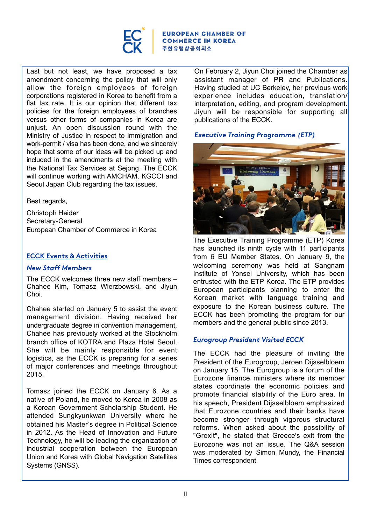

**EUROPEAN CHAMBER OF COMMERCE IN KOREA** 주한유럽상공회의소

Last but not least, we have proposed a tax amendment concerning the policy that will only allow the foreign employees of foreign corporations registered in Korea to benefit from a flat tax rate. It is our opinion that different tax policies for the foreign employees of branches versus other forms of companies in Korea are unjust. An open discussion round with the Ministry of Justice in respect to immigration and work-permit / visa has been done, and we sincerely hope that some of our ideas will be picked up and included in the amendments at the meeting with the National Tax Services at Sejong. The ECCK will continue working with AMCHAM, KGCCI and Seoul Japan Club regarding the tax issues.

Best regards,

Christoph Heider Secretary-General European Chamber of Commerce in Korea

## **ECCK Events & Activities**

#### *New Staff Members*

The ECCK welcomes three new staff members – Chahee Kim, Tomasz Wierzbowski, and Jiyun Choi.

Chahee started on January 5 to assist the event management division. Having received her undergraduate degree in convention management, Chahee has previously worked at the Stockholm branch office of KOTRA and Plaza Hotel Seoul. She will be mainly responsible for event logistics, as the ECCK is preparing for a series of major conferences and meetings throughout 2015.

Tomasz joined the ECCK on January 6. As a native of Poland, he moved to Korea in 2008 as a Korean Government Scholarship Student. He attended Sungkyunkwan University where he obtained his Master's degree in Political Science in 2012. As the Head of Innovation and Future Technology, he will be leading the organization of industrial cooperation between the European Union and Korea with Global Navigation Satellites Systems (GNSS).

On February 2, Jiyun Choi joined the Chamber as assistant manager of PR and Publications. Having studied at UC Berkeley, her previous work experience includes education, translation/ interpretation, editing, and program development. Jiyun will be responsible for supporting all publications of the ECCK.

## *Executive Training Programme (ETP)*



The Executive Training Programme (ETP) Korea has launched its ninth cycle with 11 participants from 6 EU Member States. On January 9, the welcoming ceremony was held at Sangnam Institute of Yonsei University, which has been entrusted with the ETP Korea. The ETP provides European participants planning to enter the Korean market with language training and exposure to the Korean business culture. The ECCK has been promoting the program for our members and the general public since 2013.

## *Eurogroup President Visited ECCK*

The ECCK had the pleasure of inviting the President of the Eurogroup, Jeroen Dijsselbloem on January 15. The Eurogroup is a forum of the Eurozone finance ministers where its member states coordinate the economic policies and promote financial stability of the Euro area. In his speech, President Dijsselbloem emphasized that Eurozone countries and their banks have become stronger through vigorous structural reforms. When asked about the possibility of "Grexit", he stated that Greece's exit from the Eurozone was not an issue. The Q&A session was moderated by Simon Mundy, the Financial Times correspondent.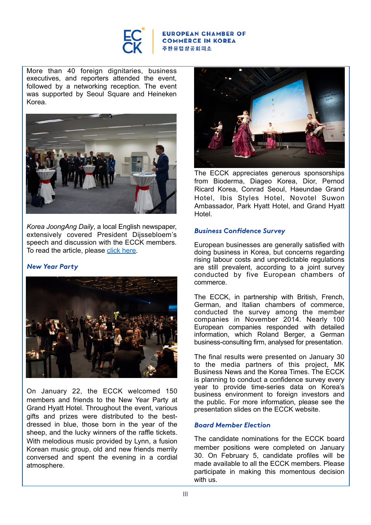

#### **EUROPEAN CHAMBER OF COMMERCE IN KOREA** 주한유럽상공회의소

More than 40 foreign dignitaries, business executives, and reporters attended the event, followed by a networking reception. The event was supported by Seoul Square and Heineken Korea.



*Korea JoongAng Daily*, a local English newspaper, extensively covered President Dijssebloem's speech and discussion with the ECCK members. To read the article, please [click here.](http://koreajoongangdaily.joins.com/news/article/article.aspx?aid=2999789)

#### *New Year Party*



On January 22, the ECCK welcomed 150 members and friends to the New Year Party at Grand Hyatt Hotel. Throughout the event, various gifts and prizes were distributed to the bestdressed in blue, those born in the year of the sheep, and the lucky winners of the raffle tickets. With melodious music provided by Lynn, a fusion Korean music group, old and new friends merrily conversed and spent the evening in a cordial atmosphere.



The ECCK appreciates generous sponsorships from Bioderma, Diageo Korea, Dior, Pernod Ricard Korea, Conrad Seoul, Haeundae Grand Hotel, Ibis Styles Hotel, Novotel Suwon Ambassador, Park Hyatt Hotel, and Grand Hyatt Hotel.

### *Business Confidence Survey*

European businesses are generally satisfied with doing business in Korea, but concerns regarding rising labour costs and unpredictable regulations are still prevalent, according to a joint survey conducted by five European chambers of commerce.

The ECCK, in partnership with British, French, German, and Italian chambers of commerce, conducted the survey among the member companies in November 2014. Nearly 100 European companies responded with detailed information, which Roland Berger, a German business-consulting firm, analysed for presentation.

The final results were presented on January 30 to the media partners of this project, MK Business News and the Korea Times. The ECCK is planning to conduct a confidence survey every year to provide time-series data on Korea's business environment to foreign investors and the public. For more information, please see the presentation slides on the ECCK website.

#### *Board Member Election*

The candidate nominations for the ECCK board member positions were completed on January 30. On February 5, candidate profiles will be made available to all the ECCK members. Please participate in making this momentous decision with us.